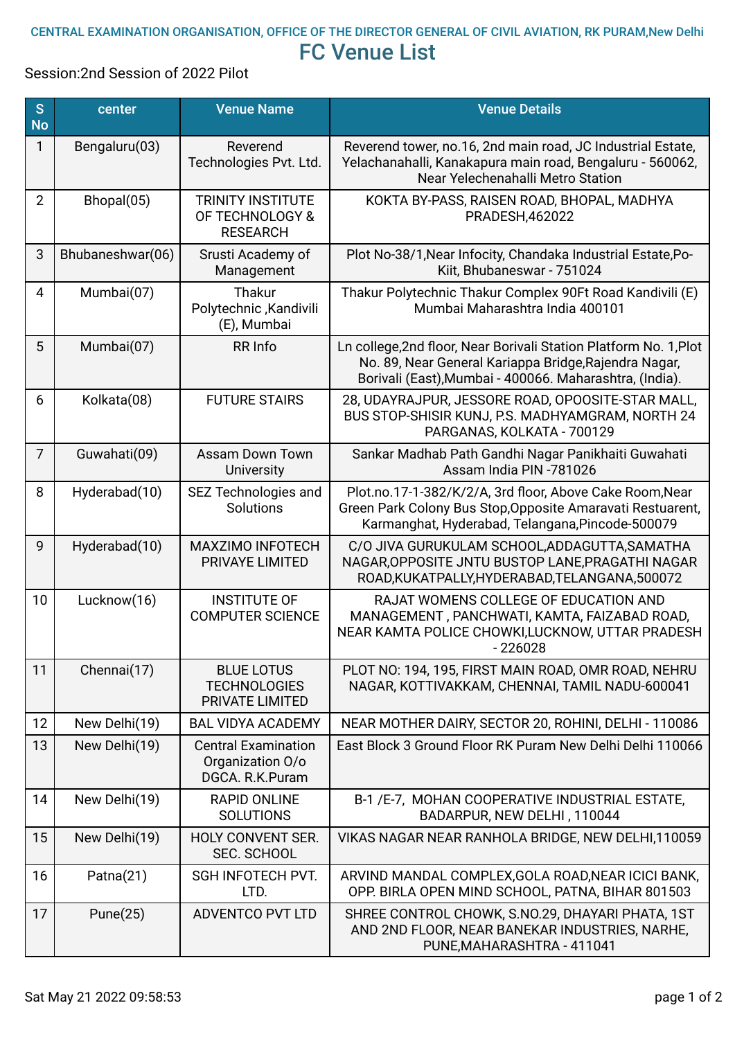## CENTRAL EXAMINATION ORGANISATION, OFFICE OF THE DIRECTOR GENERAL OF CIVIL AVIATION, RK PURAM,New Delhi FC Venue List

Session:2nd Session of 2022 Pilot

| S<br><b>No</b> | center           | <b>Venue Name</b>                                                 | <b>Venue Details</b>                                                                                                                                                                  |
|----------------|------------------|-------------------------------------------------------------------|---------------------------------------------------------------------------------------------------------------------------------------------------------------------------------------|
| $\mathbf{1}$   | Bengaluru(03)    | Reverend<br>Technologies Pvt. Ltd.                                | Reverend tower, no.16, 2nd main road, JC Industrial Estate,<br>Yelachanahalli, Kanakapura main road, Bengaluru - 560062,<br>Near Yelechenahalli Metro Station                         |
| $\overline{2}$ | Bhopal(05)       | <b>TRINITY INSTITUTE</b><br>OF TECHNOLOGY &<br><b>RESEARCH</b>    | KOKTA BY-PASS, RAISEN ROAD, BHOPAL, MADHYA<br>PRADESH, 462022                                                                                                                         |
| 3              | Bhubaneshwar(06) | Srusti Academy of<br>Management                                   | Plot No-38/1, Near Infocity, Chandaka Industrial Estate, Po-<br>Kiit, Bhubaneswar - 751024                                                                                            |
| $\overline{4}$ | Mumbai(07)       | Thakur<br>Polytechnic, Kandivili<br>(E), Mumbai                   | Thakur Polytechnic Thakur Complex 90Ft Road Kandivili (E)<br>Mumbai Maharashtra India 400101                                                                                          |
| 5              | Mumbai(07)       | RR Info                                                           | Ln college, 2nd floor, Near Borivali Station Platform No. 1, Plot<br>No. 89, Near General Kariappa Bridge, Rajendra Nagar,<br>Borivali (East), Mumbai - 400066. Maharashtra, (India). |
| 6              | Kolkata(08)      | <b>FUTURE STAIRS</b>                                              | 28, UDAYRAJPUR, JESSORE ROAD, OPOOSITE-STAR MALL,<br>BUS STOP-SHISIR KUNJ, P.S. MADHYAMGRAM, NORTH 24<br>PARGANAS, KOLKATA - 700129                                                   |
| $\overline{7}$ | Guwahati(09)     | <b>Assam Down Town</b><br><b>University</b>                       | Sankar Madhab Path Gandhi Nagar Panikhaiti Guwahati<br>Assam India PIN -781026                                                                                                        |
| 8              | Hyderabad(10)    | SEZ Technologies and<br>Solutions                                 | Plot.no.17-1-382/K/2/A, 3rd floor, Above Cake Room, Near<br>Green Park Colony Bus Stop, Opposite Amaravati Restuarent,<br>Karmanghat, Hyderabad, Telangana, Pincode-500079            |
| 9              | Hyderabad(10)    | MAXZIMO INFOTECH<br>PRIVAYE LIMITED                               | C/O JIVA GURUKULAM SCHOOL, ADDAGUTTA, SAMATHA<br>NAGAR, OPPOSITE JNTU BUSTOP LANE, PRAGATHI NAGAR<br>ROAD, KUKATPALLY, HYDERABAD, TELANGANA, 500072                                   |
| 10             | Lucknow(16)      | <b>INSTITUTE OF</b><br><b>COMPUTER SCIENCE</b>                    | RAJAT WOMENS COLLEGE OF EDUCATION AND<br>MANAGEMENT, PANCHWATI, KAMTA, FAIZABAD ROAD,<br>NEAR KAMTA POLICE CHOWKI, LUCKNOW, UTTAR PRADESH<br>$-226028$                                |
| 11             | Chennai(17)      | <b>BLUE LOTUS</b><br><b>TECHNOLOGIES</b><br>PRIVATE LIMITED       | PLOT NO: 194, 195, FIRST MAIN ROAD, OMR ROAD, NEHRU<br>NAGAR, KOTTIVAKKAM, CHENNAI, TAMIL NADU-600041                                                                                 |
| 12             | New Delhi(19)    | <b>BAL VIDYA ACADEMY</b>                                          | NEAR MOTHER DAIRY, SECTOR 20, ROHINI, DELHI - 110086                                                                                                                                  |
| 13             | New Delhi(19)    | <b>Central Examination</b><br>Organization O/o<br>DGCA, R.K.Puram | East Block 3 Ground Floor RK Puram New Delhi Delhi 110066                                                                                                                             |
| 14             | New Delhi(19)    | <b>RAPID ONLINE</b><br><b>SOLUTIONS</b>                           | B-1 /E-7, MOHAN COOPERATIVE INDUSTRIAL ESTATE,<br>BADARPUR, NEW DELHI, 110044                                                                                                         |
| 15             | New Delhi(19)    | <b>HOLY CONVENT SER.</b><br><b>SEC. SCHOOL</b>                    | VIKAS NAGAR NEAR RANHOLA BRIDGE, NEW DELHI,110059                                                                                                                                     |
| 16             | Patna(21)        | SGH INFOTECH PVT.<br>LTD.                                         | ARVIND MANDAL COMPLEX, GOLA ROAD, NEAR ICICI BANK,<br>OPP. BIRLA OPEN MIND SCHOOL, PATNA, BIHAR 801503                                                                                |
| 17             | Pune $(25)$      | <b>ADVENTCO PVT LTD</b>                                           | SHREE CONTROL CHOWK, S.NO.29, DHAYARI PHATA, 1ST<br>AND 2ND FLOOR, NEAR BANEKAR INDUSTRIES, NARHE,<br>PUNE, MAHARASHTRA - 411041                                                      |